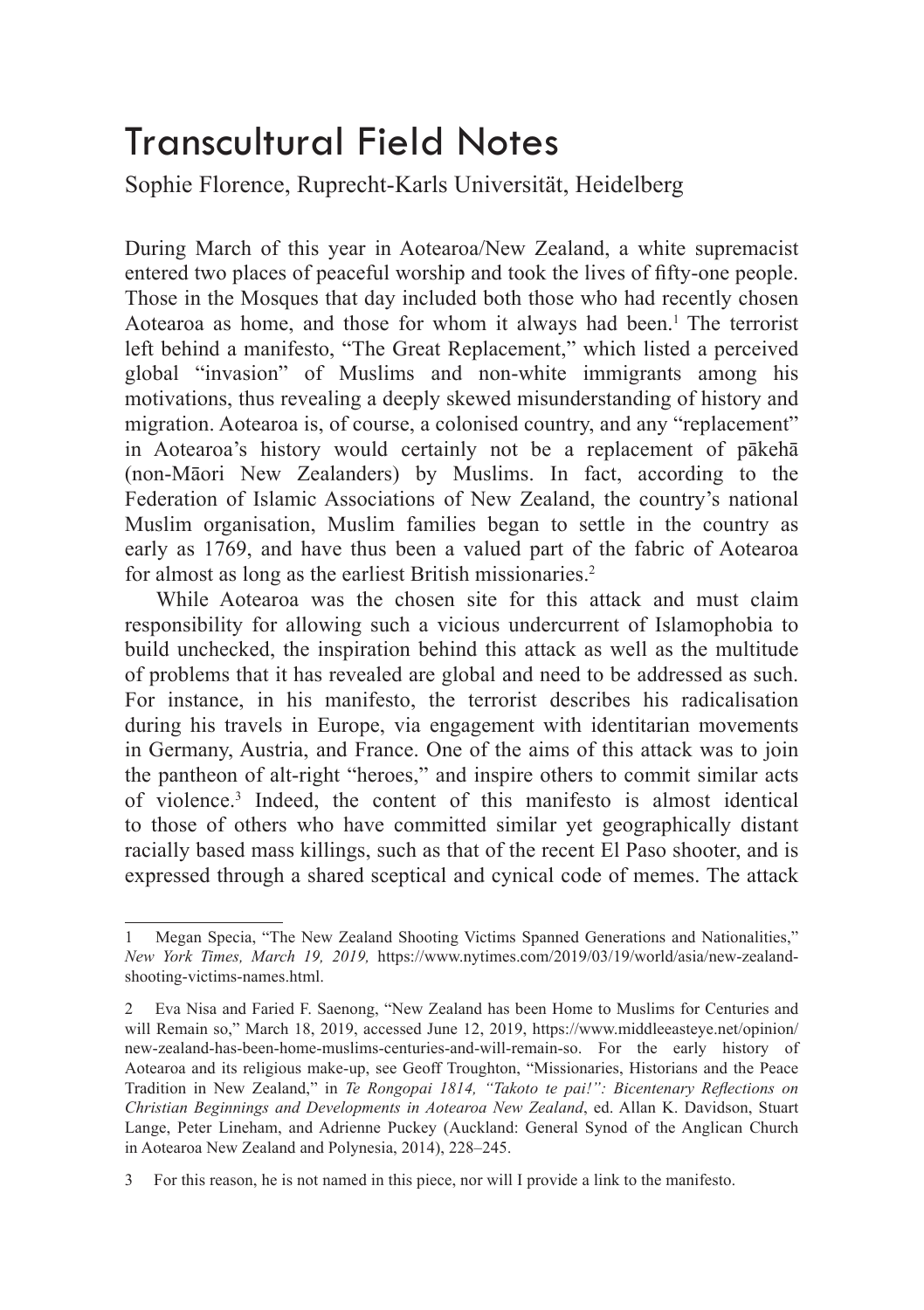## Transcultural Field Notes

Sophie Florence, Ruprecht-Karls Universität, Heidelberg

During March of this year in Aotearoa/New Zealand, a white supremacist entered two places of peaceful worship and took the lives of fifty-one people. Those in the Mosques that day included both those who had recently chosen Aotearoa as home, and those for whom it always had been.<sup>1</sup> The terrorist left behind a manifesto, "The Great Replacement," which listed a perceived global "invasion" of Muslims and non-white immigrants among his motivations, thus revealing a deeply skewed misunderstanding of history and migration. Aotearoa is, of course, a colonised country, and any "replacement" in Aotearoa's history would certainly not be a replacement of pākehā (non-Māori New Zealanders) by Muslims. In fact, according to the Federation of Islamic Associations of New Zealand, the country's national Muslim organisation, Muslim families began to settle in the country as early as 1769, and have thus been a valued part of the fabric of Aotearoa for almost as long as the earliest British missionaries.<sup>2</sup>

While Aotearoa was the chosen site for this attack and must claim responsibility for allowing such a vicious undercurrent of Islamophobia to build unchecked, the inspiration behind this attack as well as the multitude of problems that it has revealed are global and need to be addressed as such. For instance, in his manifesto, the terrorist describes his radicalisation during his travels in Europe, via engagement with identitarian movements in Germany, Austria, and France. One of the aims of this attack was to join the pantheon of alt-right "heroes," and inspire others to commit similar acts of violence.<sup>3</sup> Indeed, the content of this manifesto is almost identical to those of others who have committed similar yet geographically distant racially based mass killings, such as that of the recent El Paso shooter, and is expressed through a shared sceptical and cynical code of memes. The attack

<sup>1</sup> Megan Specia, "The New Zealand Shooting Victims Spanned Generations and Nationalities," *New York Times, March 19, 2019,* https://www.nytimes.com/2019/03/19/world/asia/new-zealandshooting-victims-names.html.

<sup>2</sup> Eva Nisa and Faried F. Saenong, "New Zealand has been Home to Muslims for Centuries and will Remain so," March 18, 2019, accessed June 12, 2019, https://www.middleeasteye.net/opinion/ new-zealand-has-been-home-muslims-centuries-and-will-remain-so. For the early history of Aotearoa and its religious make-up, see Geoff Troughton, "Missionaries, Historians and the Peace Tradition in New Zealand," in *Te Rongopai 1814, "Takoto te pai!": Bicentenary Reflections on Christian Beginnings and Developments in Aotearoa New Zealand*, ed. Allan K. Davidson, Stuart Lange, Peter Lineham, and Adrienne Puckey (Auckland: General Synod of the Anglican Church in Aotearoa New Zealand and Polynesia, 2014), 228–245.

<sup>3</sup> For this reason, he is not named in this piece, nor will I provide a link to the manifesto.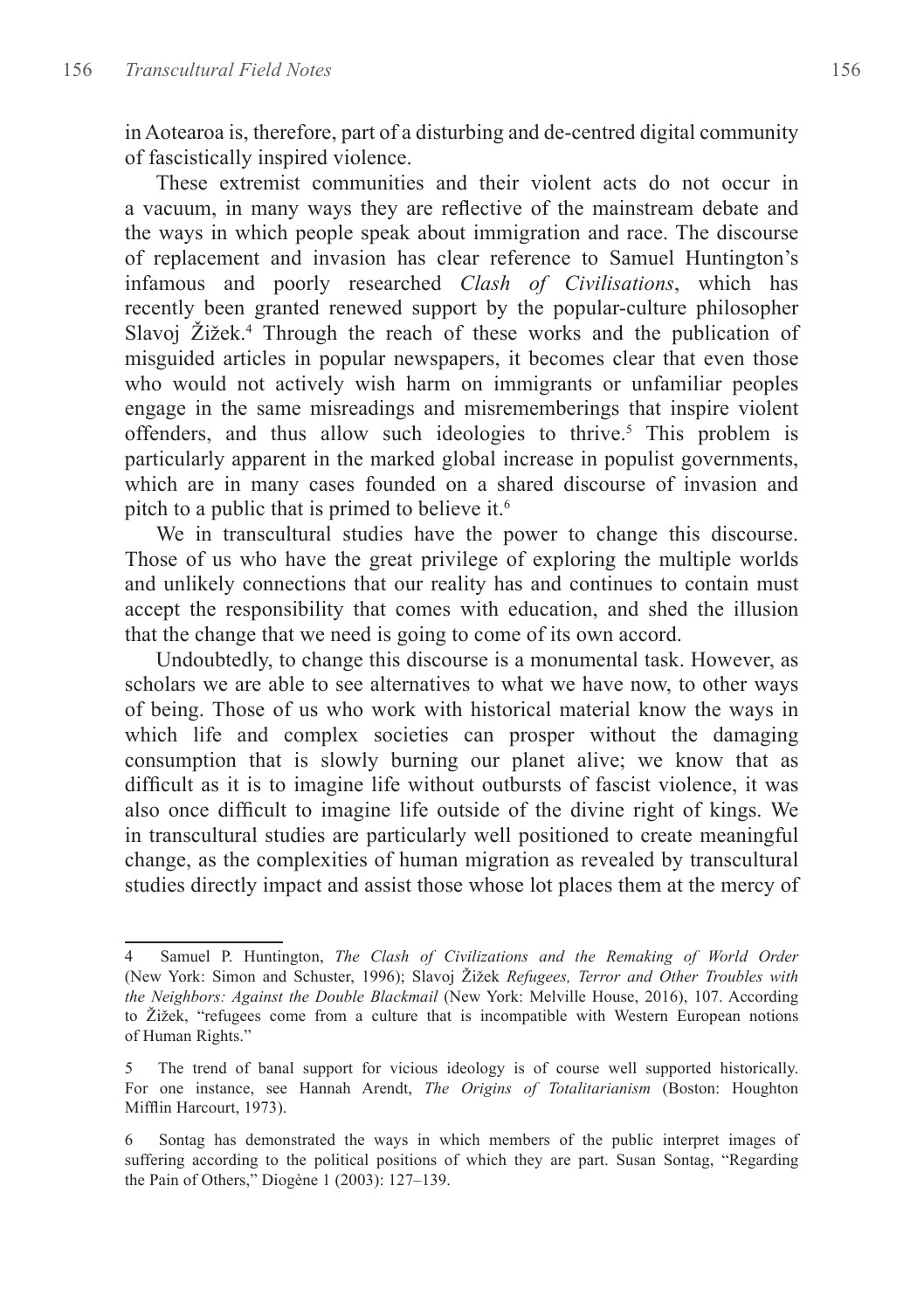in Aotearoa is, therefore, part of a disturbing and de-centred digital community of fascistically inspired violence.

These extremist communities and their violent acts do not occur in a vacuum, in many ways they are reflective of the mainstream debate and the ways in which people speak about immigration and race. The discourse of replacement and invasion has clear reference to Samuel Huntington's infamous and poorly researched *Clash of Civilisations*, which has recently been granted renewed support by the popular-culture philosopher Slavoj Žižek.<sup>4</sup> Through the reach of these works and the publication of misguided articles in popular newspapers, it becomes clear that even those who would not actively wish harm on immigrants or unfamiliar peoples engage in the same misreadings and misrememberings that inspire violent offenders, and thus allow such ideologies to thrive.<sup>5</sup> This problem is particularly apparent in the marked global increase in populist governments, which are in many cases founded on a shared discourse of invasion and pitch to a public that is primed to believe it.<sup>6</sup>

We in transcultural studies have the power to change this discourse. Those of us who have the great privilege of exploring the multiple worlds and unlikely connections that our reality has and continues to contain must accept the responsibility that comes with education, and shed the illusion that the change that we need is going to come of its own accord.

Undoubtedly, to change this discourse is a monumental task. However, as scholars we are able to see alternatives to what we have now, to other ways of being. Those of us who work with historical material know the ways in which life and complex societies can prosper without the damaging consumption that is slowly burning our planet alive; we know that as difficult as it is to imagine life without outbursts of fascist violence, it was also once difficult to imagine life outside of the divine right of kings. We in transcultural studies are particularly well positioned to create meaningful change, as the complexities of human migration as revealed by transcultural studies directly impact and assist those whose lot places them at the mercy of

<sup>4</sup> Samuel P. Huntington, *The Clash of Civilizations and the Remaking of World Order* (New York: Simon and Schuster, 1996); Slavoj Žižek *Refugees, Terror and Other Troubles with the Neighbors: Against the Double Blackmail* (New York: Melville House, 2016), 107. According to Žižek, "refugees come from a culture that is incompatible with Western European notions of Human Rights."

<sup>5</sup> The trend of banal support for vicious ideology is of course well supported historically. For one instance, see Hannah Arendt, *The Origins of Totalitarianism* (Boston: Houghton Mifflin Harcourt, 1973).

<sup>6</sup> Sontag has demonstrated the ways in which members of the public interpret images of suffering according to the political positions of which they are part. Susan Sontag, "Regarding the Pain of Others," Diogène 1 (2003): 127–139.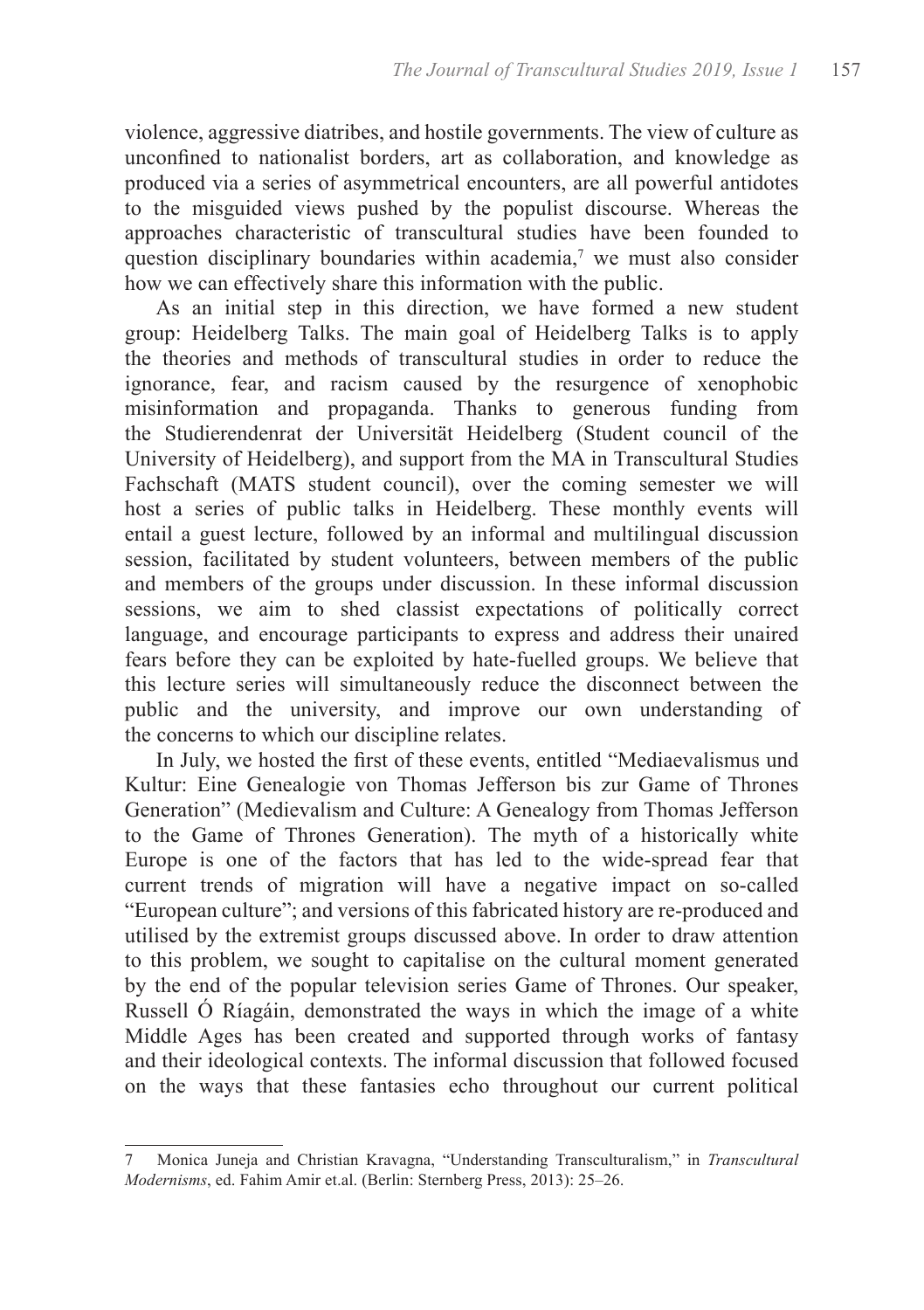violence, aggressive diatribes, and hostile governments. The view of culture as unconfined to nationalist borders, art as collaboration, and knowledge as produced via a series of asymmetrical encounters, are all powerful antidotes to the misguided views pushed by the populist discourse. Whereas the approaches characteristic of transcultural studies have been founded to question disciplinary boundaries within academia,<sup>7</sup> we must also consider how we can effectively share this information with the public.

As an initial step in this direction, we have formed a new student group: Heidelberg Talks. The main goal of Heidelberg Talks is to apply the theories and methods of transcultural studies in order to reduce the ignorance, fear, and racism caused by the resurgence of xenophobic misinformation and propaganda. Thanks to generous funding from the Studierendenrat der Universität Heidelberg (Student council of the University of Heidelberg), and support from the MA in Transcultural Studies Fachschaft (MATS student council), over the coming semester we will host a series of public talks in Heidelberg. These monthly events will entail a guest lecture, followed by an informal and multilingual discussion session, facilitated by student volunteers, between members of the public and members of the groups under discussion. In these informal discussion sessions, we aim to shed classist expectations of politically correct language, and encourage participants to express and address their unaired fears before they can be exploited by hate-fuelled groups. We believe that this lecture series will simultaneously reduce the disconnect between the public and the university, and improve our own understanding of the concerns to which our discipline relates.

In July, we hosted the first of these events, entitled "Mediaevalismus und Kultur: Eine Genealogie von Thomas Jefferson bis zur Game of Thrones Generation" (Medievalism and Culture: A Genealogy from Thomas Jefferson to the Game of Thrones Generation). The myth of a historically white Europe is one of the factors that has led to the wide-spread fear that current trends of migration will have a negative impact on so-called "European culture"; and versions of this fabricated history are re-produced and utilised by the extremist groups discussed above. In order to draw attention to this problem, we sought to capitalise on the cultural moment generated by the end of the popular television series Game of Thrones. Our speaker, Russell Ó Ríagáin, demonstrated the ways in which the image of a white Middle Ages has been created and supported through works of fantasy and their ideological contexts. The informal discussion that followed focused on the ways that these fantasies echo throughout our current political

<sup>7</sup> Monica Juneja and Christian Kravagna, "Understanding Transculturalism," in *Transcultural Modernisms*, ed. Fahim Amir et.al. (Berlin: Sternberg Press, 2013): 25–26.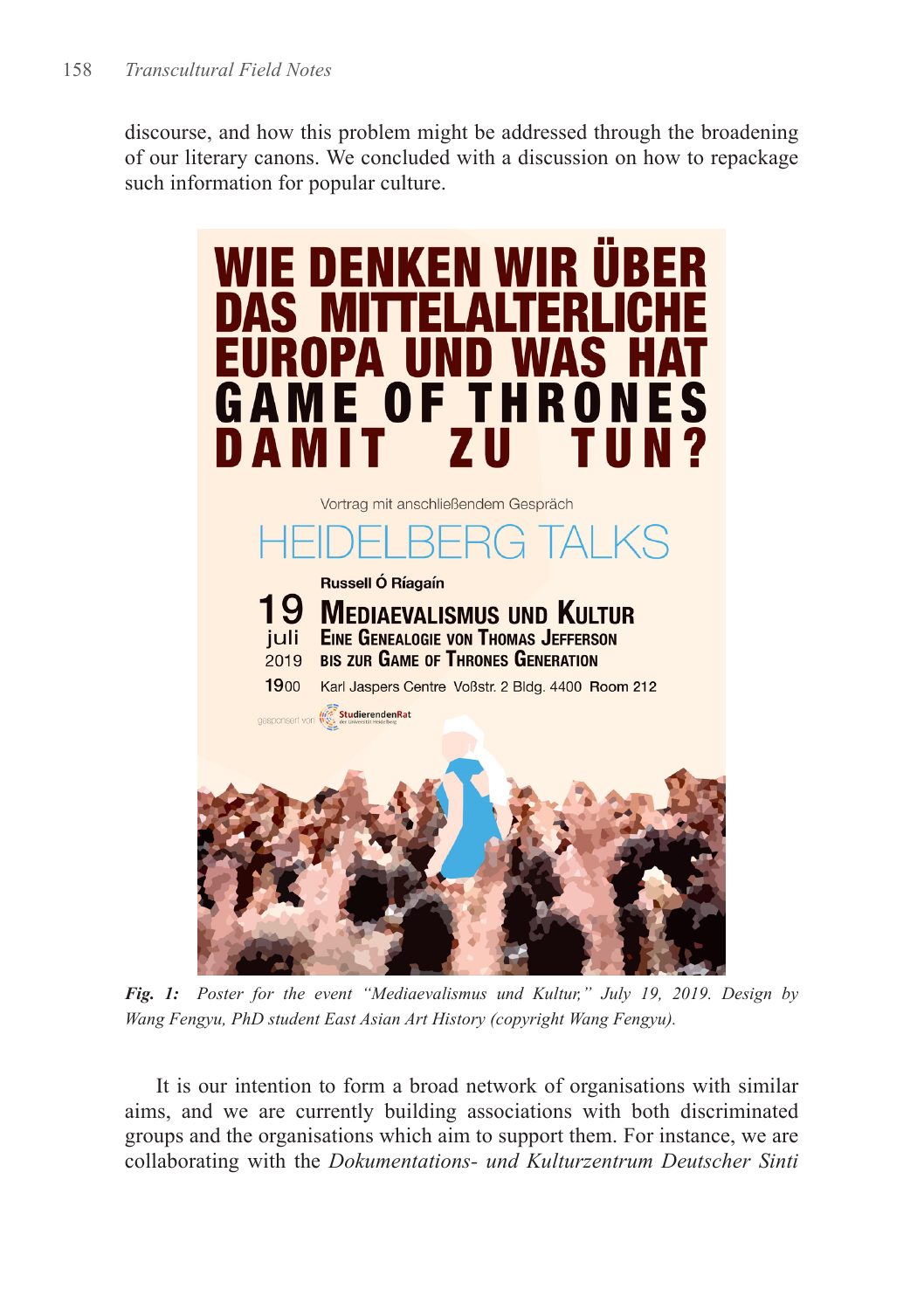discourse, and how this problem might be addressed through the broadening of our literary canons. We concluded with a discussion on how to repackage such information for popular culture.



*Fig. 1: Poster for the event "Mediaevalismus und Kultur," July 19, 2019. Design by Wang Fengyu, PhD student East Asian Art History (copyright Wang Fengyu).*

It is our intention to form a broad network of organisations with similar aims, and we are currently building associations with both discriminated groups and the organisations which aim to support them. For instance, we are collaborating with the *Dokumentations- und Kulturzentrum Deutscher Sinti*